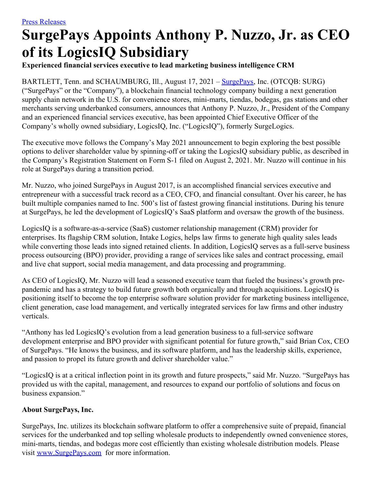# **SurgePays Appoints Anthony P. Nuzzo, Jr. as CEO of its LogicsIQ Subsidiary**

## **Experienced financial services executive to lead marketing business intelligence CRM**

BARTLETT, Tenn. and SCHAUMBURG, Ill., August 17, 2021 – [SurgePays](http://www.surgepays.com/), Inc. (OTCQB: SURG) ("SurgePays" or the "Company"), a blockchain financial technology company building a next generation supply chain network in the U.S. for convenience stores, mini-marts, tiendas, bodegas, gas stations and other merchants serving underbanked consumers, announces that Anthony P. Nuzzo, Jr., President of the Company and an experienced financial services executive, has been appointed Chief Executive Officer of the Company's wholly owned subsidiary, LogicsIQ, Inc. ("LogicsIQ"), formerly SurgeLogics.

The executive move follows the Company's May 2021 announcement to begin exploring the best possible options to deliver shareholder value by spinning-off or taking the LogicsIQ subsidiary public, as described in the Company's Registration Statement on Form S-1 filed on August 2, 2021. Mr. Nuzzo will continue in his role at SurgePays during a transition period.

Mr. Nuzzo, who joined SurgePays in August 2017, is an accomplished financial services executive and entrepreneur with a successful track record as a CEO, CFO, and financial consultant. Over his career, he has built multiple companies named to Inc. 500's list of fastest growing financial institutions. During his tenure at SurgePays, he led the development of LogicsIQ's SaaS platform and oversaw the growth of the business.

LogicsIQ is a software-as-a-service (SaaS) customer relationship management (CRM) provider for enterprises. Its flagship CRM solution, Intake Logics, helps law firms to generate high quality sales leads while converting those leads into signed retained clients. In addition, LogicsIQ serves as a full-serve business process outsourcing (BPO) provider, providing a range of services like sales and contract processing, email and live chat support, social media management, and data processing and programming.

As CEO of LogicsIQ, Mr. Nuzzo will lead a seasoned executive team that fueled the business's growth prepandemic and has a strategy to build future growth both organically and through acquisitions. LogicsIQ is positioning itself to become the top enterprise software solution provider for marketing business intelligence, client generation, case load management, and vertically integrated services for law firms and other industry verticals.

"Anthony has led LogicsIQ's evolution from a lead generation business to a full-service software development enterprise and BPO provider with significant potential for future growth," said Brian Cox, CEO of SurgePays. "He knows the business, and its software platform, and has the leadership skills, experience, and passion to propel its future growth and deliver shareholder value."

"LogicsIQ is at a critical inflection point in its growth and future prospects," said Mr. Nuzzo. "SurgePays has provided us with the capital, management, and resources to expand our portfolio of solutions and focus on business expansion."

# **About SurgePays, Inc.**

SurgePays, Inc. utilizes its blockchain software platform to offer a comprehensive suite of prepaid, financial services for the underbanked and top selling wholesale products to independently owned convenience stores, mini-marts, tiendas, and bodegas more cost efficiently than existing wholesale distribution models. Please visit [www.SurgePays.com](http://www.surgepays.com/) for more information.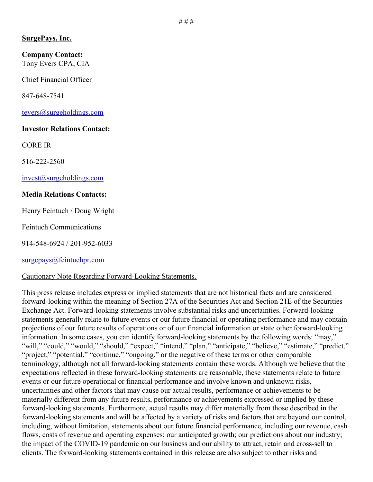## **SurgePays, Inc.**

**Company Contact:** Tony Evers CPA, CIA

Chief Financial Officer

847-648-7541

[tevers@surgeholdings.com](mailto:tevers@surgeholdings.com)

#### **Investor Relations Contact:**

CORE IR

516-222-2560

[invest@surgeholdings.com](mailto:invest@surgeholdings.com)

#### **Media Relations Contacts:**

Henry Feintuch / Doug Wright

Feintuch Communications

914-548-6924 / 201-952-6033

[surgepays@feintuchpr.com](mailto:surgepays@feintuchpr.com)

## Cautionary Note Regarding Forward-Looking Statements.

This press release includes express or implied statements that are not historical facts and are considered forward-looking within the meaning of Section 27A of the Securities Act and Section 21E of the Securities Exchange Act. Forward-looking statements involve substantial risks and uncertainties. Forward-looking statements generally relate to future events or our future financial or operating performance and may contain projections of our future results of operations or of our financial information or state other forward-looking information. In some cases, you can identify forward-looking statements by the following words: "may," "will," "could," "would," "should," "expect," "intend," "plan," "anticipate," "believe," "estimate," "predict," "project," "potential," "continue," "ongoing," or the negative of these terms or other comparable terminology, although not all forward-looking statements contain these words. Although we believe that the expectations reflected in these forward-looking statements are reasonable, these statements relate to future events or our future operational or financial performance and involve known and unknown risks, uncertainties and other factors that may cause our actual results, performance or achievements to be materially different from any future results, performance or achievements expressed or implied by these forward-looking statements. Furthermore, actual results may differ materially from those described in the forward-looking statements and will be affected by a variety of risks and factors that are beyond our control, including, without limitation, statements about our future financial performance, including our revenue, cash flows, costs of revenue and operating expenses; our anticipated growth; our predictions about our industry; the impact of the COVID-19 pandemic on our business and our ability to attract, retain and cross-sell to clients. The forward-looking statements contained in this release are also subject to other risks and